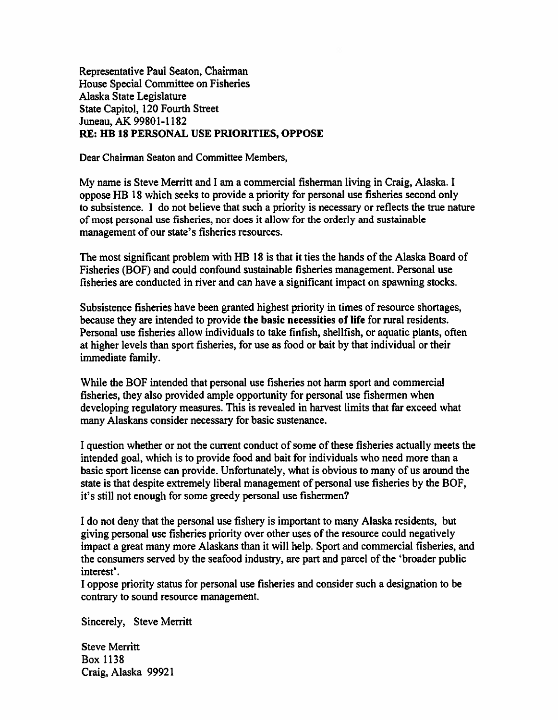Representative Paul Seaton, Chairman House Special Committee on Fisheries Alaska State Legislature State Capitol, 120 Fourth Street Juneau, AK 99801-1182 RE: HB 18 PERSONAL USE PRIORITIES, OPPOSE

Dear Chairman Seaton and Committee Members,

My name is Steve Merritt and I am <sup>a</sup> commercial fisherman living in Craig, Alaska. I oppose FIB 18 which seeks to provide <sup>a</sup> priority for personal use fisheries second only to subsistence. I do not believe that such <sup>a</sup> priority is necessary or reflects the true nature of most personal use fisheries, nor does it allow for the orderly and sustainable managemen<sup>t</sup> of our state's fisheries resources.

The most significant problem with HB 18 is that it ties the hands of the Alaska Board of Fisheries (BOF) and could confound sustainable fisheries management. Personal use fisheries are conducted in river and can have <sup>a</sup> significant impact on spawning stocks.

Subsistence fisheries have been granted highest priority in times of resource shortages, because they are intended to provide the basic necessities of life for rural residents. Personal use fisheries allow individuals to take finfish, shellfish, or aquatic plants, often at higher levels than spor<sup>t</sup> fisheries, for use as food or bait by that individual or their immediate family.

While the BOF intended that personal use fisheries not harm spor<sup>t</sup> and commercial fisheries, they also provided ample opportunity for personal use fishermen when developing regulatory measures. This is revealed in harvest limits that far exceed what many Alaskans consider necessary for basic sustenance.

I question whether or not the current conduct of some of these fisheries actually meets the intended goal, which is to provide food and bait for individuals who need more than <sup>a</sup> basic spor<sup>t</sup> license can provide. Unfortunately, what is obvious to many of us around the state is that despite extremely liberal managemen<sup>t</sup> of personal use fisheries by the BOF, it's still not enough for some greedy personal use fishermen?

I do not deny that the personal use fishery is important to many Alaska residents, but giving personal use fisheries priority over other uses of the resource could negatively impact <sup>a</sup> grea<sup>t</sup> many more Alaskans than it will help. Sport and commercial fisheries, and the consumers served by the seafood industry, are par<sup>t</sup> and parcel of the 'broader public interest'.

I oppose priority status for personal use fisheries and consider such <sup>a</sup> designation to be contrary to sound resource management.

Sincerely, Steve Merritt

Steve Merritt Box 1138 Craig, Alaska 99921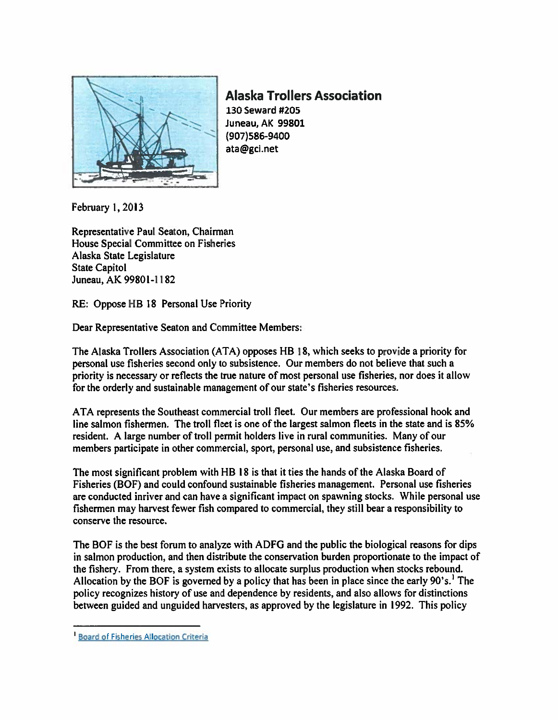

Alaska Trollers Association 130 Seward #205 Juneau, AK 99801 (907)586-9400 ata@gci.net

February 1,2013

Representative Paul Seaton, Chairman House Special Committee on Fisheries Alaska State Legislature State Capitol Juneau, AK 99801-1182

RE: Oppose HB 18 Personal Use Priority

Dear Representative Seaton and Committee Members:

The Alaska Trollers Association (ATA) opposes RB 18, which seeks to provide <sup>a</sup> priority for personal use fisheries second only to subsistence. Our members do not believe that such <sup>a</sup> priority is necessary or reflects the true nature of most personal use fisheries, nor does it allow for the orderly and sustainable managemen<sup>t</sup> of our state's fisheries resources.

ATA represents the Southeast commercial troll fleet. Our members are professional hook and line salmon fishermen. The troll fleet is one of the largest salmon fleets in the state and is 85% resident. A large number of troll permit holders live in rural communities. Many of our members participate in other commercial, sport. personal use, and subsistence fisheries.

The most significant problem with HB 18 is that it ties the hands of the Alaska Board of Fisheries (BOF) and could confound sustainable fisheries management. Personal use fisheries are conducted inriver and can have <sup>a</sup> significant impact on spawning stocks. While personal use fishermen may harvest fewer fish compared to commercial, they still bear <sup>a</sup> responsibility to conserve the resource.

The BOF is the best forum to analyze with ADFG and the public the biological reasons for dips in salmon production, and then distribute the conservation burden proportionate to the impact of the fishery. From there, <sup>a</sup> system exists to allocate surplus production when stocks rebound. Allocation by the BOF is governed by <sup>a</sup> policy that has been in place since the early 90's.' The policy recognizes history of use and dependence by residents, and also allows for distinctions between guided and unguided harvesters, as approved by the legislature in 1992. This policy

**Board of Fisheries Allocation Criteria**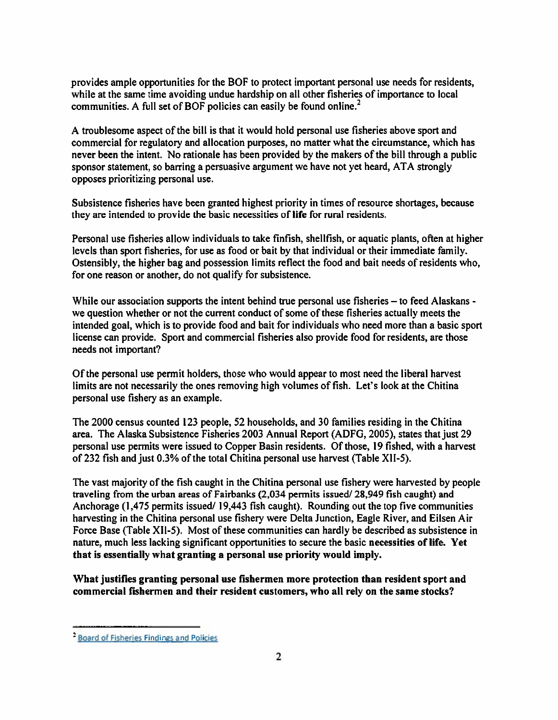provides ample opportunities for the BOF to protect important personal use needs for residents, while at the same time avoiding undue hardship on all other fisheries of importance to local communities. A full set of BOF policies can easily be found online.<sup>2</sup>

A troublesome aspec<sup>t</sup> of the bill is that it would hold personal use fisheries above spor<sup>t</sup> and commercial for regulatory and allocation purposes, no matter what the circumstance, which has never been the intent. No rationale has been provided by the makers of the bill through <sup>a</sup> public sponsor statement, so barring <sup>a</sup> persuasive argumen<sup>t</sup> we have not ye<sup>t</sup> heard, ATA strongly opposes prioritizing personal use.

Subsistence fisheries have been granted highest priority in times of resource shortages, because they are intended to provide the basic necessities of life for rural residents.

Personal use fisheries allow individuals to take finfish, shellfish, or aquatic plants, often at higher levels than spor<sup>t</sup> fisheries, for use as food or bait by that individual or their immediate family. Ostensibly, the higher bag and possession limits reflect the food and bait needs of residents who, for one reason or another, do not qualify for subsistence.

While our association supports the intent behind true personal use fisheries – to feed Alaskans we question whether or not the current conduct of some of these fisheries actually meets the intended goal, which is to provide food and bait for individuals who need more than <sup>a</sup> basic spor<sup>t</sup> license can provide. Sport and commercial fisheries also provide food for residents, are those needs not important?

Of the personal use permit holders, those who would appear to most need the liberal harvest limits are not necessarily the ones removing high volumes of fish. Let's look at the Chitina personal use fishery as an example.

The 2000 census counted 123 people, 52 households, and 30 families residing in the Chitina area. The Alaska Subsistence Fisheries 2003 Annual Report (ADFG, 2005), states that just 29 personal use permits were issued to Copper Basin residents. Of those, 19 fished, with <sup>a</sup> harvest of 232 fish and just 0.3% of the total Chitina personal use harvest (Table XlI-5).

The vast majority of the fish caught in the Chitina personal use fishery were harvested by people traveling from the urban areas of Fairbanks  $(2,034$  permits issued/ $28,949$  fish caught) and Anchorage  $(1,475)$  permits issued/ 19,443 fish caught). Rounding out the top five communities harvesting in the Chitina personal use fishery were Delta Junction, Eagle River, and Eilsen Air Force Base (Table XlI-5). Most of these communities can hardly be described as subsistence in nature, much less lacking significant opportunities to secure the basic necessities of life. Yet that is essentially what granting <sup>a</sup> personal use priority would imply.

What justifies granting personal use fishermen more protection than resident spor<sup>t</sup> and commercial fishermen and their resident customers, who all rely on the same stocks?

<sup>2</sup> Board of Fisheries Findings and Policies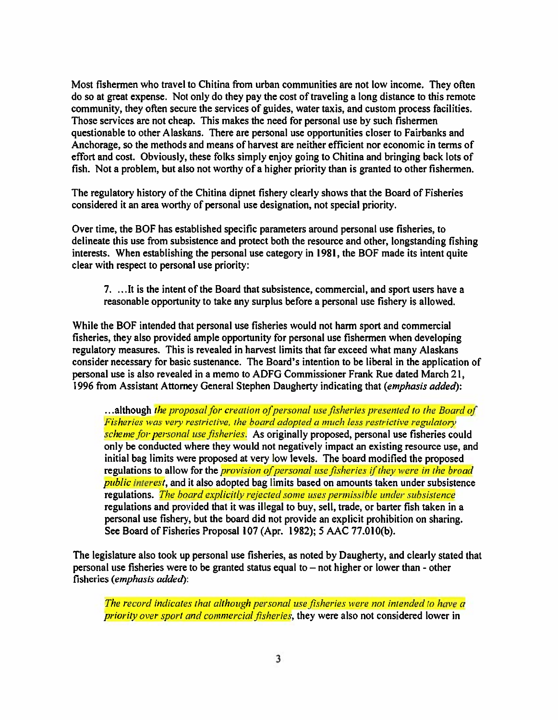Most fishermen who travel to Chitina from urban communities are not low income. They often do so at grea<sup>t</sup> expense. Not only do they pay the cost of traveling <sup>a</sup> long distance to this remote community, they often secure the services of guides, water taxis, and custom process facilities. Those services are not cheap. This makes the need for personal use by such fishermen questionable to other Alaskans. There are personal use opportunities closer to Fairbanks and Anchorage, so the methods and means of harvest are neither efficient nor economic in terms of effort and cost. Obviously, these folks simply enjoy going to Chitina and bringing back lots of fish. Not <sup>a</sup> problem, but also not worthy of <sup>a</sup> higher priority than is granted to other fishermen.

The regulatory history of the Chitina dipnet fishery clearly shows that the Board of Fisheries considered it an area worthy of personal use designation, not special priority.

Over time, the BOF has established specific parameters around personal use fisheries, to delineate this use from subsistence and protect both the resource and other, longstanding fishing interests. When establishing the personal use category in 1981, the BOF made its intent quite clear with respec<sup>t</sup> to personal use priority:

7. . . .It is the intent of the Board that subsistence, commercial, and spor<sup>t</sup> users have <sup>a</sup> reasonable opportunity to take any surplus before <sup>a</sup> personal use fishery is allowed.

While the BOF intended that personal use fisheries would not harm spor<sup>t</sup> and commercial fisheries, they also provided ample opportunity for personal use fishermen when developing regulatory measures. This is revealed in harvest limits that far exceed what many Alaskans consider necessary for basic sustenance. The Board's intention to be liberal in the application of personal use is also revealed in <sup>a</sup> memo to ADFG Commissioner Frank Rue dated March 21, 1996 from Assistant Attorney General Stephen Daugherty indicating that (emphasis added):

...although the proposal for creation of personal use fisheries presented to the Board of Fisheries was very restrictive, the board adopted <sup>a</sup> much less restrictive regulatory scheme for personal use fisheries. As originally proposed, personal use fisheries could only be conducted where they would not negatively impact an existing resource use, and initial bag limits were proposed at very low levels. The board modified the proposed regulations to allow for the *provision of personal use fisheries if they were in the broad public interest*, and it also adopted bag limits based on amounts taken under subsistence regulations. The board explicitly rejected some uses permissible under subsistence regulations and provided that it was illegal to buy, sell, trade, or barter fish taken in <sup>a</sup> personal use fishery, but the board did not provide an explicit prohibition on sharing. See Board of Fisheries Proposal 107 (Apr. 1982); 5 AAC 77.010(b).

The legislature also took up personal use fisheries, as noted by Daugherty, and clearly stated that personal use fisheries were to be granted status equal to  $-$  not higher or lower than  $-$  other fisheries (emphasis added):

The record indicates that although personal use fisheries were not intended to have <sup>a</sup> priority over sport and commercial fisheries, they were also not considered lower in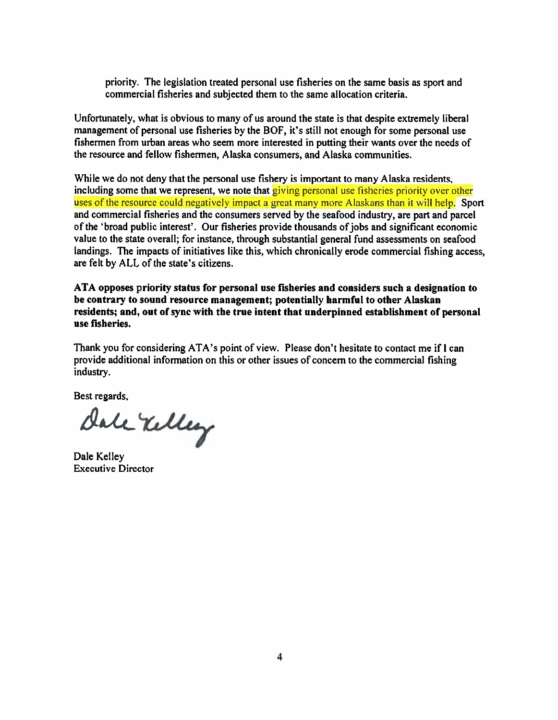priority. The legislation treated personal use fisheries on the same basis as spor<sup>t</sup> and commercial fisheries and subjected them to the same allocation criteria.

Unfortunately, what is obvious to many of us around the state is that despite extremely liberal managemen<sup>t</sup> of personal use fisheries by the BOF, it's still not enough for some personal use fishermen from urban areas who seem more interested in putting their wants over the needs of the resource and fellow fishermen, Alaska consumers, and Alaska communities.

While we do not deny that the personal use fishery is important to many Alaska residents, including some that we represent, we note that giving personal use fisheries priority over other uses of the resource could negatively impact a great many more Alaskans than it will help. Sport and commercial fisheries and the consumers served by the seafood industry, are par<sup>t</sup> and parcel of the 'broad public interest'. Our fisheries provide thousands ofjobs and significant economic value to the state overall; for instance, through substantial genera<sup>l</sup> fund assessments on seafood landings. The impacts of initiatives like this, which chronically erode commercial fishing access, are felt by ALL of the state's citizens.

ATA opposes priority status for personal use fisheries and considers such <sup>a</sup> designation to be contrary to sound resource management; potentially harmful to other Alaskan residents; and, out of sync with the true intent that underpinned establishment of personal use fisheries.

Thank you for considering ATA's point of view. Please don't hesitate to contact me if <sup>I</sup> can provide additional information on this or other issues of concern to the commercial fishing industry.

Best regards,

dale Velley

Dale Kelley Executive Director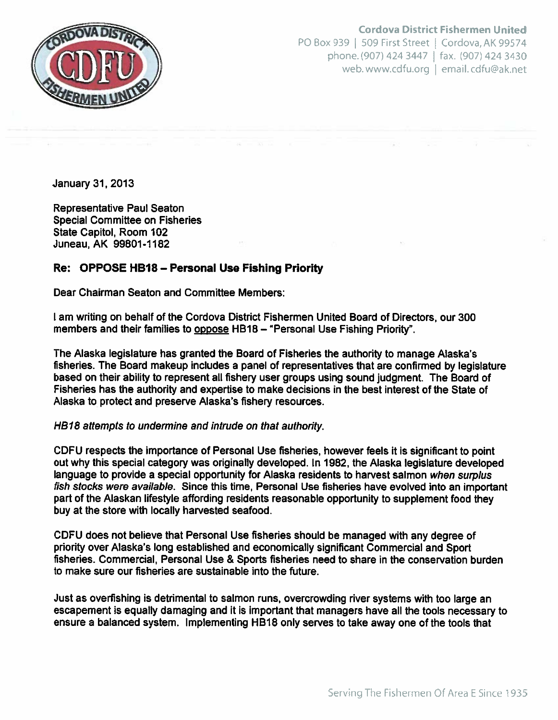

Cordova District Fishermen United PO Box 939 | 509 First Street | Cordova, AK 99574 phone. (907) 424 3447  $\parallel$  fax. (907) 424 3430 web.www.cdfu.org | email.cdfu@ak.net

January 31, 2013

Representative Paul Seaton Special Committee on Fisheries State Capitol, Room 102 Juneau, AK 99801-1182

## Re: OPPOSE HBIB — Personal Use Fishing Priority

Dear Chairman Seaton and Committee Members:

I am writing on behalf of the Cordova District Fishermen United Board of Directors, our 300 members and their families to oppose HB18 - "Personal Use Fishing Priority".

The Alaska legislature has granted the Board of Fisheries the authority to manage Alaska's fisheries. The Board makeup includes <sup>a</sup> panel of representatives that are confirmed by legislature based on their ability to represen<sup>t</sup> all fishery user groups using sound judgment. The Board of Fisheries has the authority and expertise to make decisions in the best interest of the State of Alaska to protect and preserve Alaska's fishery resources.

### HB18 attempts to undermine and intrude on that authority.

CDFU respects the importance of Personal Use fisheries, however feels it is significant to point out why this special category was originally developed. In 1982, the Alaska legislature developed language to provide a special opportunity for Alaska residents to harvest salmon when surplus fish stocks were available. Since this time, Personal Use fisheries have evolved into an important par<sup>t</sup> of the Alaskan lifestyle affording residents reasonable opportunity to supplement food they buy at the store with locally harvested seafood.

CDFU does not believe that Personal Use fisheries should be managed with any degree of priority over Alaska's long established and economically significant Commercial and Sport fisheries. Commercial, Personal Use & Sports fisheries need to share in the conservation burden to make sure our fisheries are sustainable into the future.

Just as overfishing is detrimental to salmon runs, overcrowding river systems with too large an escapemen<sup>t</sup> is equally damaging and it is important that managers have all the tools necessary to ensure <sup>a</sup> balanced system. Implementing HB18 only serves to take away one of the tools that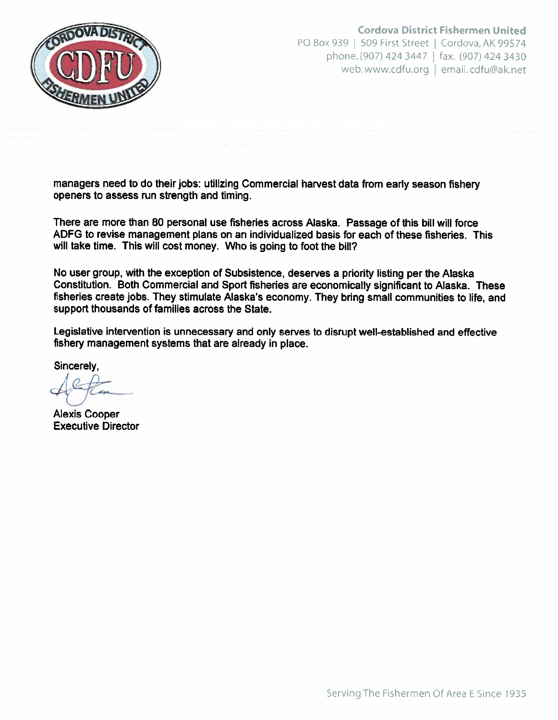

Cordova District Fishermen United PO Box 939 | 509 First Street | Cordova, AK 99574 phone. (907) 424 3447 fax. (907) 424 3430 web.www.cdfu.org I email. cdfu@ak.net

managers need to do their jobs: utilizing Commercial harvest data from early season fishery openers to assess run strength and timing.

There are more than 80 personal use fisheries across Alaska. Passage of this bill will force ADFG to revise managemen<sup>t</sup> plans on an individualized basis for each of these fisheries. This will take time. This will cost money. Who is going to foot the bill?

No user group, with the exception of Subsistence, deserves <sup>a</sup> priority listing per the Alaska Constitution. Both Commercial and Sport fisheries are economically significant to Alaska. These fisheries create jobs. They stimulate Alaska's economy. They bring small communities to life, and suppor<sup>t</sup> thousands of families across the State.

Legislative intervention is unnecessary and only serves to disrupt well-established and effective fishery managemen<sup>t</sup> systems that are already in place.

Sincerely,

 $\sqrt{2}$ L/ljC

Alexis Cooper Executive Director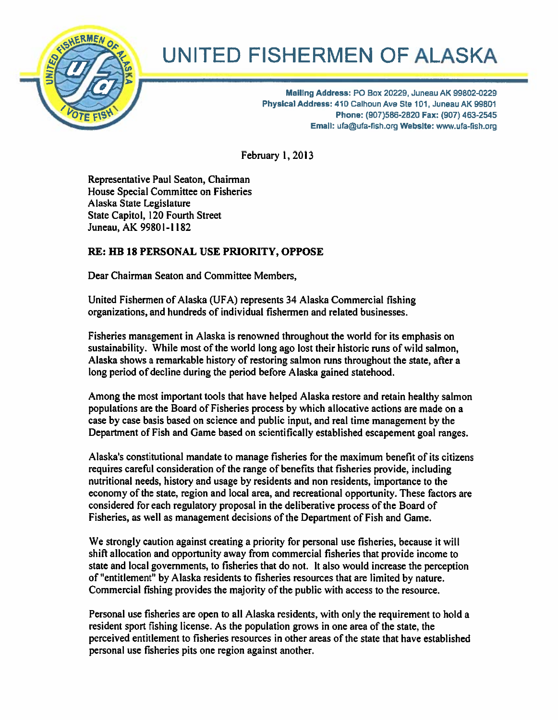

# UNITED FISHERMEN OF ALASKA

Mailing Address: PO Box 20229, Juneau AK 99802-0229<br>Physical Address: 410 Calhoun Ave Ste 101, Juneau AK 99801 Phone: (907)586-2820 Fax: (907) 463-2545 Email: ufa@ufa-flsh.org Website: www.ufa-tish.org

February 1, 2013

Representative Paul Seaton, Chairman House Special Committee on Fisheries Alaska State Legislature State Capitol, 120 Fourth Street Juneau, AK 99801-1182

# RE: HR 18 PERSONAL USE PRIORITY, OPPOSE

Dear Chairman Seaton and Committee Members,

United Fishermen of Alaska (UFA) represents 34 Alaska Commercial fishing organizations, and hundreds of individual fishermen and related businesses.

Fisheries managemen<sup>t</sup> in Alaska is renowned throughout the world for its emphasis on sustainability. While most of the world long ago lost their historic runs of wild salmon, Alaska shows <sup>a</sup> remarkable history of restoring salmon runs throughout the state, after <sup>a</sup> long period of decline during the period before Alaska gained statehood.

Among the most important tools that have helped Alaska restore and retain healthy salmon populations are the Board of Fisheries process by which allocative actions are made on <sup>a</sup> case by case basis based on science and public input, and real time managemen<sup>t</sup> by the Department of Fish and Game based on scientifically established escapement goal ranges.

Alaska's constitutional mandate to manage fisheries for the maximum benefit of its citizens requires careful consideration of the range of benefits that fisheries provide, including nutritional needs, history and usage by residents and non residents, importance to the economy of the state, region and local area, and recreational opportunity. These factors are considered for each regulatory proposal in the deliberative process of the Board of Fisheries, as well as managemen<sup>t</sup> decisions of the Department of Fish and Game.

We strongly caution against creating <sup>a</sup> priority for personal use fisheries, because it will shift allocation and opportunity away from commercial fisheries that provide income to state and local governments, to fisheries that do not. It also would increase the perception of "entitlement' by Alaska residents to fisheries resources that are limited by nature. Commercial fishing provides the majority of the public with access to the resource.

Personal use fisheries are open to all Alaska residents, with only the requirement to hold <sup>a</sup> resident spor<sup>t</sup> fishing license. As the population grows in one area of the state, the perceived entitlement to fisheries resources in other areas of the state that have established personal use fisheries pits one region against another.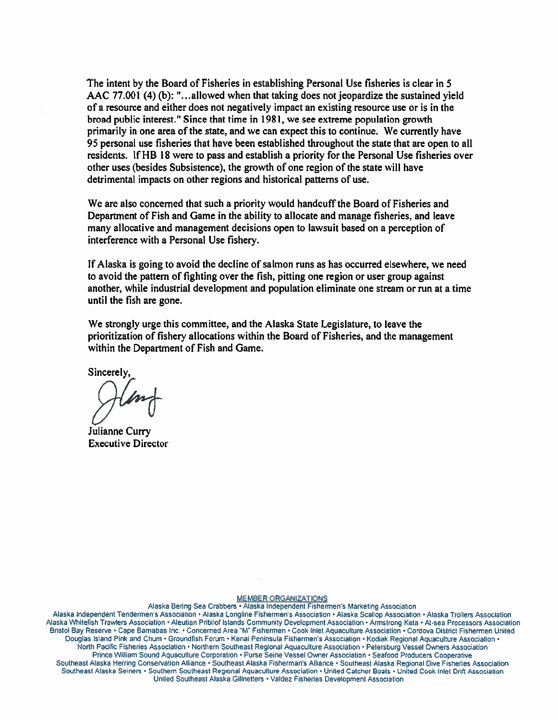The intent by the Board of Fisheries in establishing Personal Use fisheries is clear in S AAC 77.001 (4) (b): "...allowed when that taking does not jeopardize the sustained yield of <sup>a</sup> resource and either does not negatively impact an existing resource use or is in the broad public interest." Since that time in 1981, we see extreme population growth primarily in one area of the state, and we can expec<sup>t</sup> this to continue. We currently have 95 personal use fisheries that have been established throughout the state that are open to all residents. If HB 18 were to pass and establish <sup>a</sup> priority for the Personal Use fisheries over other uses (besides Subsistence), the growth of one region of the state will have detrimental impacts on other regions and historical patterns of use.

We are also concerned that such a priority would handcuff the Board of Fisheries and Department of Fish and Game in the ability to allocate and manage fisheries, and leave many allocative and managemen<sup>t</sup> decisions open to lawsuit based on <sup>a</sup> perception of interference with <sup>a</sup> Personal Use fishery.

If Alaska is going to avoid the decline of salmon runs as has occurred elsewhere, we need to avoid the pattern of fighting over the fish, pitting one region or user group against another, while industrial development and population eliminate one stream or run at <sup>a</sup> time until the fish are gone.

We strongly urge this committee, and the Alaska State Legislature, to leave the prioritization of fishery allocations within the Board of Fisheries, and the managemen<sup>t</sup> within the Department of Fish and Game.

Sincerely,

Julianne Curry Executive Director

#### MEMBER ORGANIZATIONS

Alaska Bering Sea Crabbers . Alaska Independent Fishermen's Marketing Association

Alaska Independent Tendermen's Association · Alaska Longline Fishermen's Association · Alaska Scallop Association · Alaska Trollers Association Alaska Whitefish Trawlers Association · Aleutian Pribilof Islands Community Development Association · Armstrong Keta · At-sea Processors Association Bristol Bay Reserve • Cape Barnabas Inc. • Concerned Area "M" Fishermen • Cook Inlet Aquaculture Association • Cordova District Fishermen United Douglas Island Pink and Chum · Groundfish Forum · Kenai Peninsula Fishermen's Association · Kodiak Regional Aquaculture Association · North Pacific Fisheries Association . Northern Southeast Regional Aquaculture Association . Petersburg Vessel Owners Association Prince William Sound Aquaculture Corporation · Purse Seine Vessel Owner Association · Seafood Producers Cooperative Southeast Alaska Herring Conservation Alliance ' Southeast Alaska Fisherman's Alliance • Southeast Alaska Regional Dive Fisheries Association Southeast Alaska Seiners • Southern Southeast Regional Aquaculture Association • United Catcher Boats • United Cook Inlet Drift Association United Southeast Alaska Gilinetters • Valdez Fisheries Development Association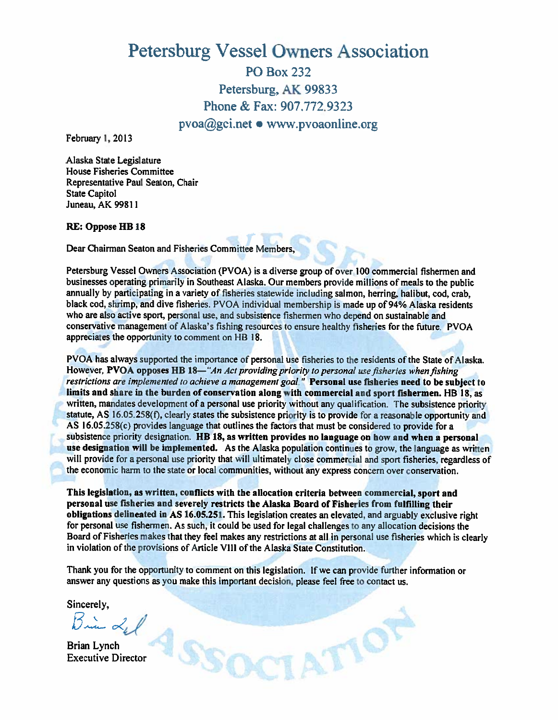# Petersburg Vessel Owners Association

P0 Box 232 Petersburg, AK 99833 Phone & Fax: 907,772.9323 pvoagei.net • www.pvoaonline.org

February 1.2013

Alaska State Legislature House Fisheries Committee Representative Paul Seaton, Chair State Capitol Juneau, AK 99811

### RE: Oppose HB 18

Dear Chairman Seaton and Fisheries Committee Members,

Petersburg Vessel Owners Association (PVOA) is a diverse group of over 100 commercial fishermen and businesses operating primarily in Southeast Alaska. Our members provide millions of meals to the public annually by participating in <sup>a</sup> variety of fisheries statewide including salmon, herring, halibut, cod, crab, black cod, shrimp, and dive fisheries. PVOA individual membership is made up of 94% Alaska residents who are also active sport, personal use, and subsistence fishermen who depend on sustainable and conservative managemen<sup>t</sup> of Alaska's fishing resources to ensure healthy fisheries for the future. PVOA appreciates the opportunity to comment on HB 18.

PVOA has always supported the importance of personal use fisheries to the residents of the State of Alaska. However, PVOA opposes HB 18-"An Act providing priority to personal use fisheries when fishing restrictions are implemented to achieve a management goal." Personal use fisheries need to be subject to limits and share in the burden of conservation along with commercial and spor<sup>t</sup> fishermen. HB 18, as written, mandates development of <sup>a</sup> personal use priority without any qualification. The subsistence priority statute. AS 16.05.258(f), clearly states the subsistence priority is to provide for a reasonable opportunity and AS 16.05.258(c) provides language that outlines the factors that must be considered to provide for <sup>a</sup> subsistence priority designation. HB 18, as written provides no language on how and when a personal use designation will be implemented. As the Alaska population continues to grow, the language as written will provide for a personal use priority that will ultimately close commercial and sport fisheries, regardless of the economic harm to the state or local communities, without any express concern over conservation.

This legislation, as written, conflicts with the allocation criteria between commercial, spor<sup>t</sup> and persona<sup>l</sup> use fisheries and severely restricts the Alaska Board of Fisheries from fulfilling their obligations delineated in AS 16.05.251. This legislation creates an elevated, and arguably exclusive right for persona<sup>l</sup> use fishermen. As such, it could be used for legal challenges to any allocation decisions the Board of Fisheries makes that they feel makes any restrictions at all in persona<sup>l</sup> use fisheries which is clearly in violation of the provisions of Article VIII of the Alaska State Constitution.

Thank you for the opportunity to comment on this legislation. If we can provide further information or answer any questions as you make this important decision, please feel free to contact us.

ATION

Sincerely,

Brian Lynch Executive Director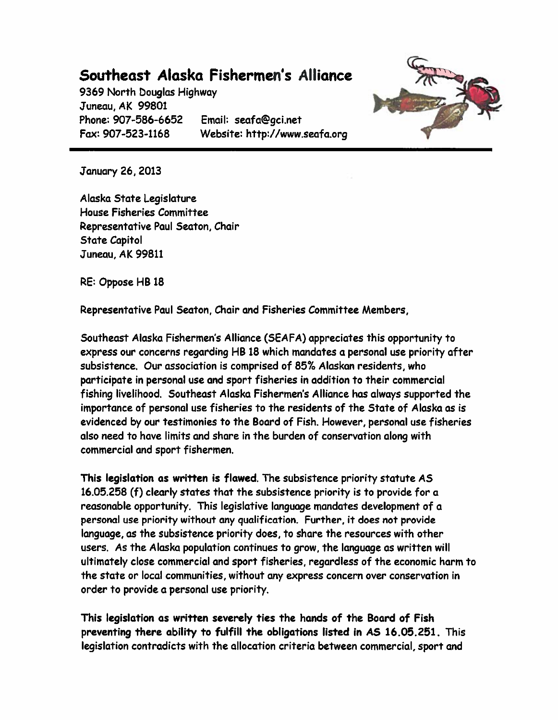# Southeast Alaska Fishermen's Alliance

9369 North Douglas Highway Juneau, AK 99801 Phone: 907-586-6652 Email: seafa@gci.net Fax: 907-523-1168 Website: http://www.seafa.org



January 26, 2013

Alaska State Legislature House Fisheries Committee Representative Paul Seaton, Chair State Capitol Juneau, AK 99811

RE: Oppose HB 18

Representative Paul Seaton, Chair and Fisheries Committee Members,

Southeast Alaska Fishermen's Alliance (SEAFA) appreciates this opportunity to express our concerns regarding HB 18 which mandates <sup>a</sup> personal use priority after subsistence. Our association is comprised of 85% Alaskan residents, who participate in personal use and spor<sup>t</sup> fisheries in addition to their commercial fishing livelihood. Southeast Alaska Fishermen's Alliance has always supported the importance of personal use fisheries to the residents of the State of Alaska as is evidenced by our testimonies to the Board of Fish. However, personal use fisheries also need to have limits and share in the burden of conservation along with commercial and spor<sup>t</sup> fishermen.

This legislation as written is flawed. The subsistence priority statute AS 16.05,258 (f) clearly states that the subsistence priority is to provide for <sup>a</sup> reasonable opportunity. This legislative language mandates development of <sup>a</sup> personal use priority without any qualification. Further, it does not provide language, as the subsistence priority does, to share the resources with other users. As the Alaska population continues to grow, the language as written will ultimately close commercial and spor<sup>t</sup> fisheries, regardless of the economic harm to the state or local communities, without any express concern over conservation in order to provide <sup>a</sup> personal use priority.

This legislation as written severely ties the hands of the Board of Fish preventing there ability to fulfill the obligations listed in AS 16.05.251. This legislation contradicts with the allocation criteria between commercial, spor<sup>t</sup> and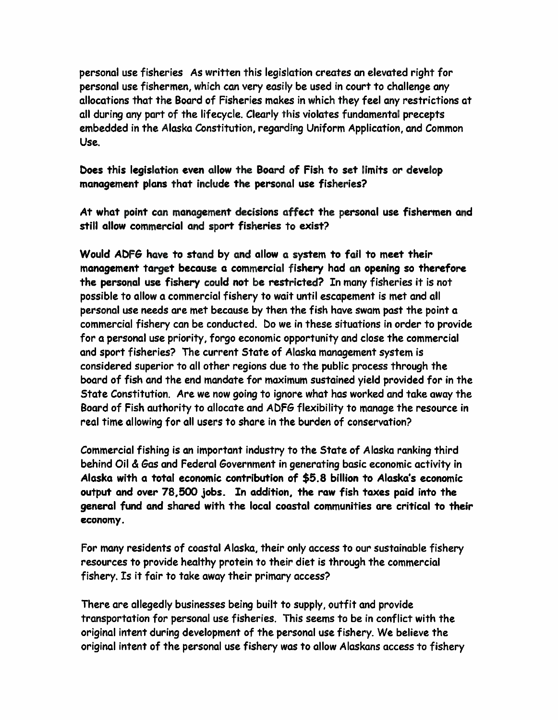personal use fisheries As written this legislation creates an elevated right for personal use fishermen, which can very easily be used in court to challenge any allocations that the Board of Fisheries makes in which they feel any restrictions at all during any par<sup>t</sup> of the lifecycle. Clearly this violates fundamental precepts embedded in the Alaska Constitution, regarding Uniform Application, and Common Use.

boes this legislation even allow the Board of Fish to set limits or develop managemen<sup>t</sup> plans that include the personal use fisheries?

At what point can managemen<sup>t</sup> decisions affect the personal use fishermen and still allow commercial and spor<sup>t</sup> fisheries to exist?

Would ADF& have to stand by and allow <sup>a</sup> system to fail to meet their managemen<sup>t</sup> target because <sup>a</sup> commercial fishery had an opening so therefore the personal use fishery could not be restricted? In many fisheries it is not possible to allow <sup>a</sup> commercial fishery to wait until escapemen<sup>t</sup> is met and all personal use needs are met because by then the fish have swam pas<sup>t</sup> the point <sup>a</sup> commercial fishery can be conducted. Do we in these situations in order to provide for <sup>a</sup> personal use priority, forgo economic opportunity and close the commercial and spor<sup>t</sup> fisheries? The current State of Alaska managemen<sup>t</sup> system is considered superior to all other regions due to the public process through the board of fish and the end mandate for maximum sustained yield provided for in the State Constitution. Are we now going to ignore what has worked and take away the Board of Fish authority to allocate and ADFG flexibility to manage the resource in real time allowing for all users to share in the burden of conservation?

Commercial fishing is an important industry to the State of Alaska ranking third behind Oil & Gas and Federal Government in generating basic economic activity in Alaska with <sup>a</sup> total economic contribution of \$5.8 billion to Alaska's economic output and over 78,500 jobs. In addition, the raw fish taxes paid into the general fund and shared with the local coastal communities are critical to their economy.

For many residents of coastal Alaska, their only access to our sustainable fishery resources to provide healthy protein to their diet is through the commercial fishery. Is it fair to take away their primary access?

There are allegedly businesses being built to supply, outfit and provide transportation for personal use fisheries. This seems to be in conflict with the original intent during development of the personal use fishery. We believe the original intent of the personal use fishery was to allow Alaskans access to fishery